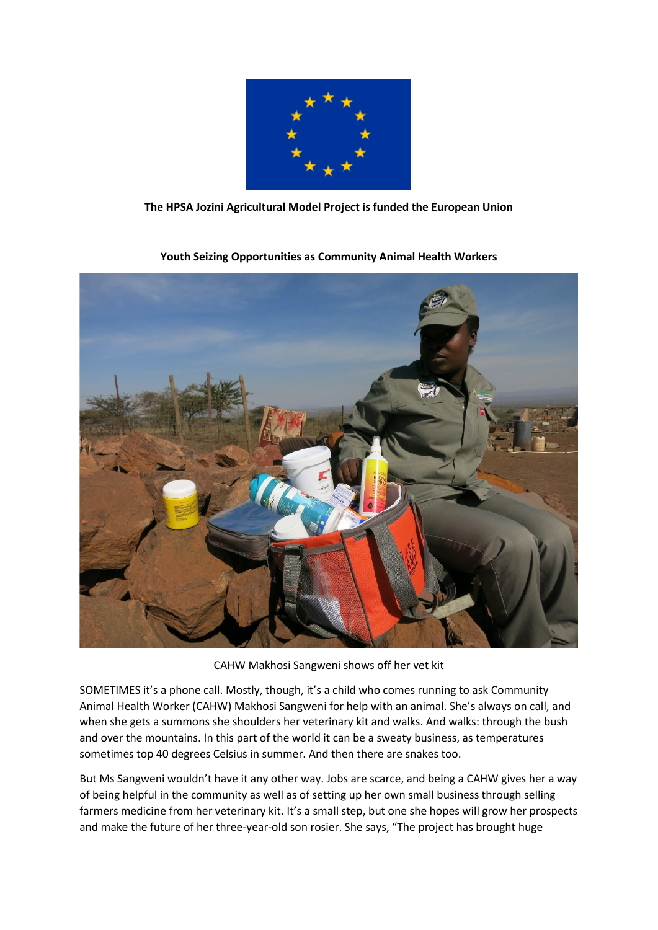

## **The HPSA Jozini Agricultural Model Project is funded the European Union**



**Youth Seizing Opportunities as Community Animal Health Workers**

CAHW Makhosi Sangweni shows off her vet kit

SOMETIMES it's a phone call. Mostly, though, it's a child who comes running to ask Community Animal Health Worker (CAHW) Makhosi Sangweni for help with an animal. She's always on call, and when she gets a summons she shoulders her veterinary kit and walks. And walks: through the bush and over the mountains. In this part of the world it can be a sweaty business, as temperatures sometimes top 40 degrees Celsius in summer. And then there are snakes too.

But Ms Sangweni wouldn't have it any other way. Jobs are scarce, and being a CAHW gives her a way of being helpful in the community as well as of setting up her own small business through selling farmers medicine from her veterinary kit. It's a small step, but one she hopes will grow her prospects and make the future of her three-year-old son rosier. She says, "The project has brought huge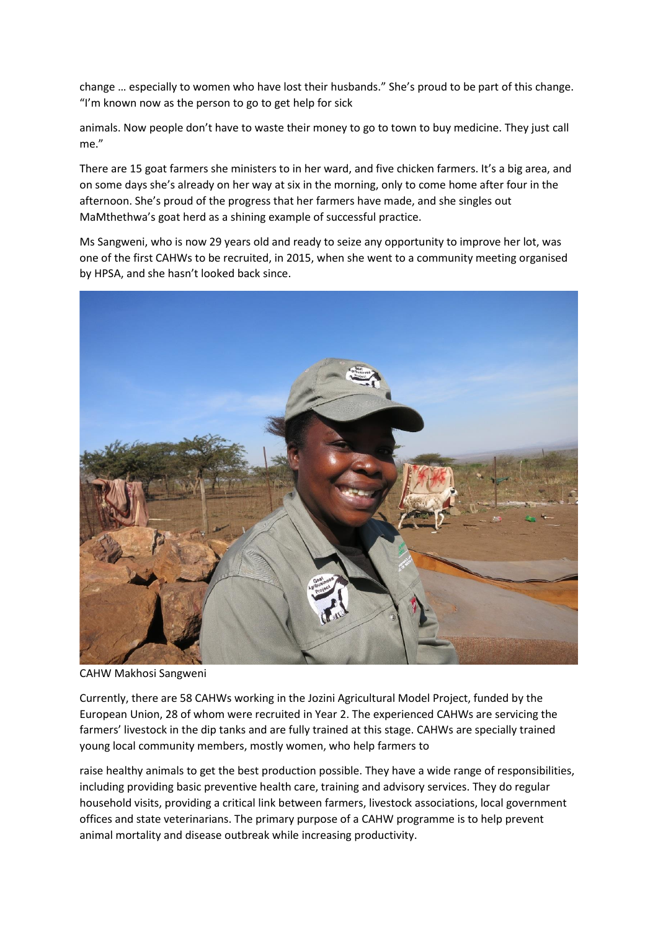change … especially to women who have lost their husbands." She's proud to be part of this change. "I'm known now as the person to go to get help for sick

animals. Now people don't have to waste their money to go to town to buy medicine. They just call me."

There are 15 goat farmers she ministers to in her ward, and five chicken farmers. It's a big area, and on some days she's already on her way at six in the morning, only to come home after four in the afternoon. She's proud of the progress that her farmers have made, and she singles out MaMthethwa's goat herd as a shining example of successful practice.

Ms Sangweni, who is now 29 years old and ready to seize any opportunity to improve her lot, was one of the first CAHWs to be recruited, in 2015, when she went to a community meeting organised by HPSA, and she hasn't looked back since.



CAHW Makhosi Sangweni

Currently, there are 58 CAHWs working in the Jozini Agricultural Model Project, funded by the European Union, 28 of whom were recruited in Year 2. The experienced CAHWs are servicing the farmers' livestock in the dip tanks and are fully trained at this stage. CAHWs are specially trained young local community members, mostly women, who help farmers to

raise healthy animals to get the best production possible. They have a wide range of responsibilities, including providing basic preventive health care, training and advisory services. They do regular household visits, providing a critical link between farmers, livestock associations, local government offices and state veterinarians. The primary purpose of a CAHW programme is to help prevent animal mortality and disease outbreak while increasing productivity.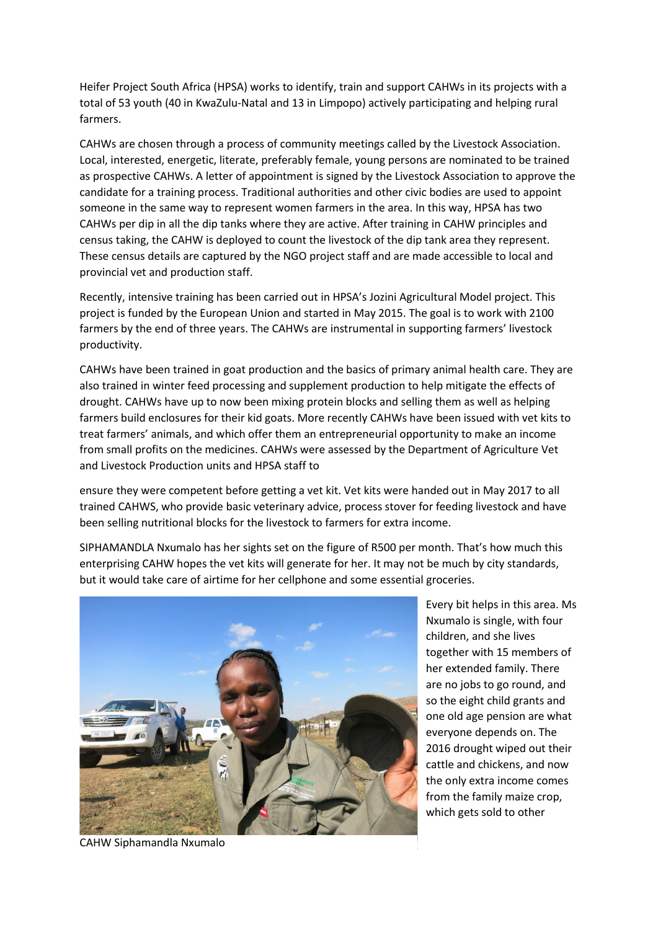Heifer Project South Africa (HPSA) works to identify, train and support CAHWs in its projects with a total of 53 youth (40 in KwaZulu-Natal and 13 in Limpopo) actively participating and helping rural farmers.

CAHWs are chosen through a process of community meetings called by the Livestock Association. Local, interested, energetic, literate, preferably female, young persons are nominated to be trained as prospective CAHWs. A letter of appointment is signed by the Livestock Association to approve the candidate for a training process. Traditional authorities and other civic bodies are used to appoint someone in the same way to represent women farmers in the area. In this way, HPSA has two CAHWs per dip in all the dip tanks where they are active. After training in CAHW principles and census taking, the CAHW is deployed to count the livestock of the dip tank area they represent. These census details are captured by the NGO project staff and are made accessible to local and provincial vet and production staff.

Recently, intensive training has been carried out in HPSA's Jozini Agricultural Model project. This project is funded by the European Union and started in May 2015. The goal is to work with 2100 farmers by the end of three years. The CAHWs are instrumental in supporting farmers' livestock productivity.

CAHWs have been trained in goat production and the basics of primary animal health care. They are also trained in winter feed processing and supplement production to help mitigate the effects of drought. CAHWs have up to now been mixing protein blocks and selling them as well as helping farmers build enclosures for their kid goats. More recently CAHWs have been issued with vet kits to treat farmers' animals, and which offer them an entrepreneurial opportunity to make an income from small profits on the medicines. CAHWs were assessed by the Department of Agriculture Vet and Livestock Production units and HPSA staff to

ensure they were competent before getting a vet kit. Vet kits were handed out in May 2017 to all trained CAHWS, who provide basic veterinary advice, process stover for feeding livestock and have been selling nutritional blocks for the livestock to farmers for extra income.

SIPHAMANDLA Nxumalo has her sights set on the figure of R500 per month. That's how much this enterprising CAHW hopes the vet kits will generate for her. It may not be much by city standards, but it would take care of airtime for her cellphone and some essential groceries.



Every bit helps in this area. Ms Nxumalo is single, with four children, and she lives together with 15 members of her extended family. There are no jobs to go round, and so the eight child grants and one old age pension are what everyone depends on. The 2016 drought wiped out their cattle and chickens, and now the only extra income comes from the family maize crop, which gets sold to other

CAHW Siphamandla Nxumalo